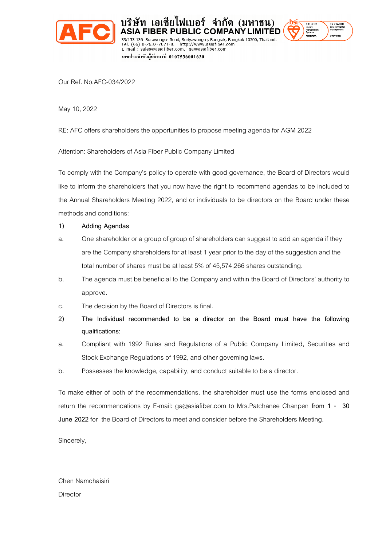

 $1000$ 

Our Ref. No.AFC-034/2022

May 10, 2022

RE: AFC offers shareholders the opportunities to propose meeting agenda for AGM 2022

Tel. (66) 0-2632-7071-8, http://www.asiafiber.com<br>E-mail : sales@asiafiber.com, ga@asiafiber.com

เลขประจำตัวผู้เสียภาษี 0107536001630

บริษัท เอเชียไฟเบอร์ จำกัด (มหาชน)

**JBLIC COMPANY LIMITÉD** 

ad, Suriyawongse, Bangrak, Bangkok 10500, Thailand<mark>.</mark>

Attention: Shareholders of Asia Fiber Public Company Limited

33/133-136 Suits

To comply with the Company's policy to operate with good governance, the Board of Directors would like to inform the shareholders that you now have the right to recommend agendas to be included to the Annual Shareholders Meeting 2022, and or individuals to be directors on the Board under these methods and conditions:

## **1) Adding Agendas**

- a. One shareholder or a group of group of shareholders can suggest to add an agenda if they are the Company shareholders for at least 1 year prior to the day of the suggestion and the total number of shares must be at least 5% of 45,574,266 shares outstanding.
- b. The agenda must be beneficial to the Company and within the Board of Directors' authority to approve.
- c. The decision by the Board of Directors is final.
- **2) The Individual recommended to be a director on the Board must have the following qualifications:**
- a. Compliant with 1992 Rules and Regulations of a Public Company Limited, Securities and Stock Exchange Regulations of 1992, and other governing laws.
- b. Possesses the knowledge, capability, and conduct suitable to be a director.

To make either of both of the recommendations, the shareholder must use the forms enclosed and return the recommendations by E-mail: ga@asiafiber.com to Mrs.Patchanee Chanpen **from 1 - 30 June 2022** for the Board of Directors to meet and consider before the Shareholders Meeting.

Sincerely,

Chen Namchaisiri **Director**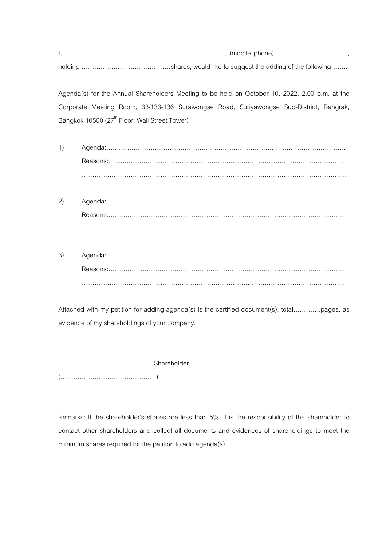Agenda(s) for the Annual Shareholders Meeting to be held on October 10, 2022, 2.00 p.m. at the Corporate Meeting Room, 33/133-136 Surawongse Road, Suriyawongse Sub-District, Bangrak, Bangkok 10500 (27<sup>th</sup> Floor, Wall Street Tower)

- $1)$
- $(2)$
- $3)$

Attached with my petition for adding agenda(s) is the certified document(s), total..............pages, as evidence of my shareholdings of your company.

Remarks: If the shareholder's shares are less than 5%, it is the responsibility of the shareholder to contact other shareholders and collect all documents and evidences of shareholdings to meet the minimum shares required for the petition to add agenda(s).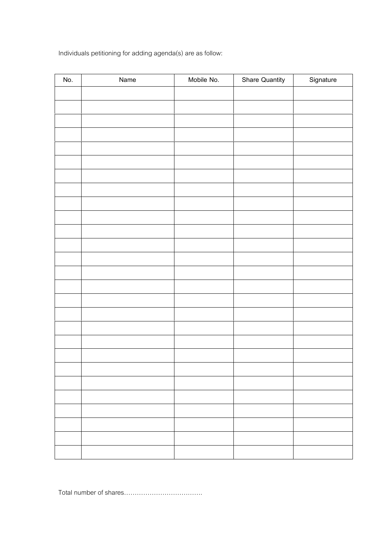Individuals petitioning for adding agenda(s) are as follow:

| No. | Name | Mobile No. | <b>Share Quantity</b> | Signature |
|-----|------|------------|-----------------------|-----------|
|     |      |            |                       |           |
|     |      |            |                       |           |
|     |      |            |                       |           |
|     |      |            |                       |           |
|     |      |            |                       |           |
|     |      |            |                       |           |
|     |      |            |                       |           |
|     |      |            |                       |           |
|     |      |            |                       |           |
|     |      |            |                       |           |
|     |      |            |                       |           |
|     |      |            |                       |           |
|     |      |            |                       |           |
|     |      |            |                       |           |
|     |      |            |                       |           |
|     |      |            |                       |           |
|     |      |            |                       |           |
|     |      |            |                       |           |
|     |      |            |                       |           |
|     |      |            |                       |           |
|     |      |            |                       |           |
|     |      |            |                       |           |
|     |      |            |                       |           |
|     |      |            |                       |           |
|     |      |            |                       |           |
|     |      |            |                       |           |
|     |      |            |                       |           |

Total number of shares::::::::::::.